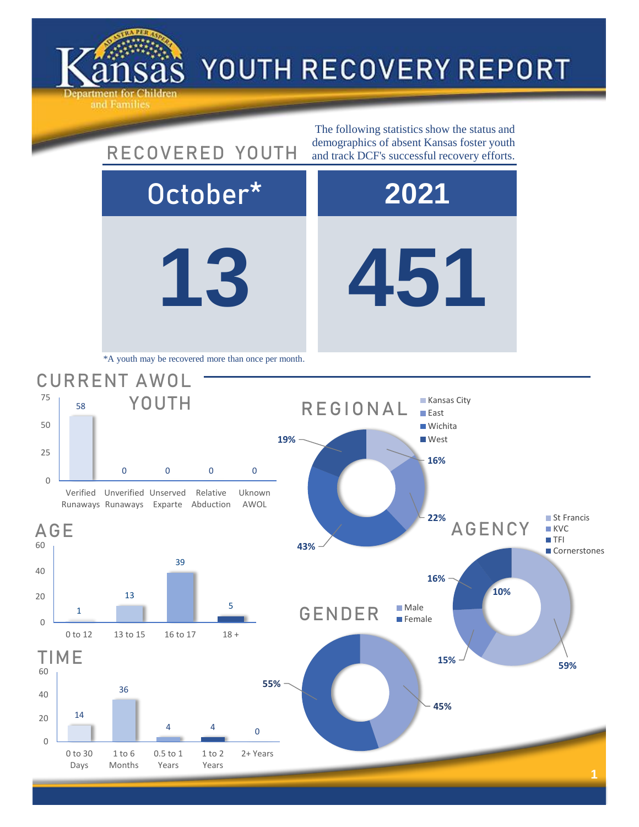

40

60

AGE

0

25

50

75

## YOUTH RECOVERY REPORT

**13 451** October\* **2021 16%** AGENCY ■ St Francis **KVC TFI Cornerstones** 39 58 0 0 0 0 Verified Unverified Unserved Runaways Runaways Exparte Abduction Relative Uknown AWOL CURRENT AWOL YOUTH The following statistics show the status and RECOVERED YOUTH demographics of absent Kansas foster youth and track DCF's successful recovery efforts. \*A youth may be recovered more than once per month. **16% 22% 43% 19%** REGIONAL **Kansas City East Wichita West**